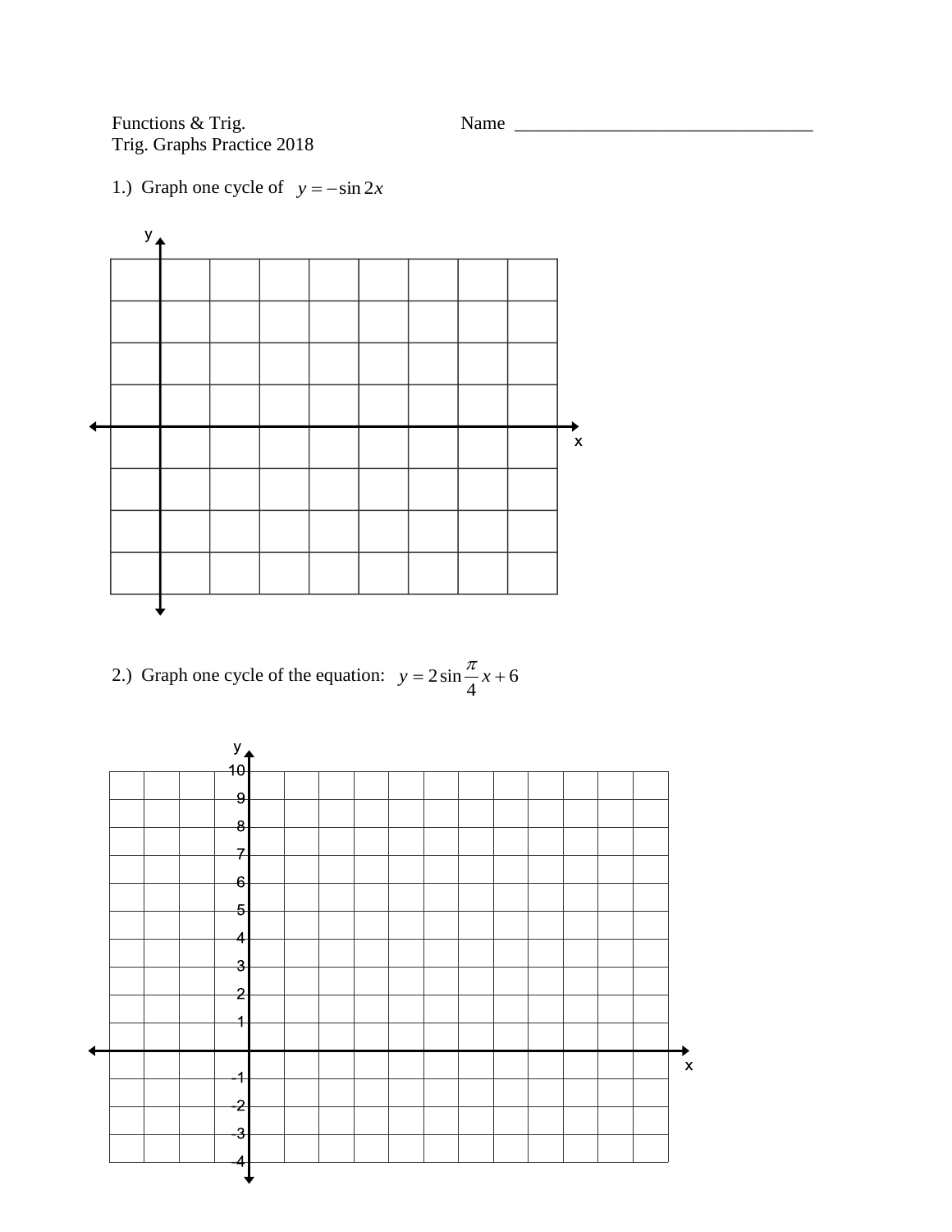Functions & Trig.<br>Trig. Graphs Practice 2018

Name  $\frac{1}{\sqrt{1-\frac{1}{2}}\sqrt{1-\frac{1}{2}}\left\vert \frac{1}{2}+1\right\vert }$ 

1.) Graph one cycle of  $y = -\sin 2x$ 



2.) Graph one cycle of the equation: 
$$
y = 2\sin\frac{\pi}{4}x + 6
$$

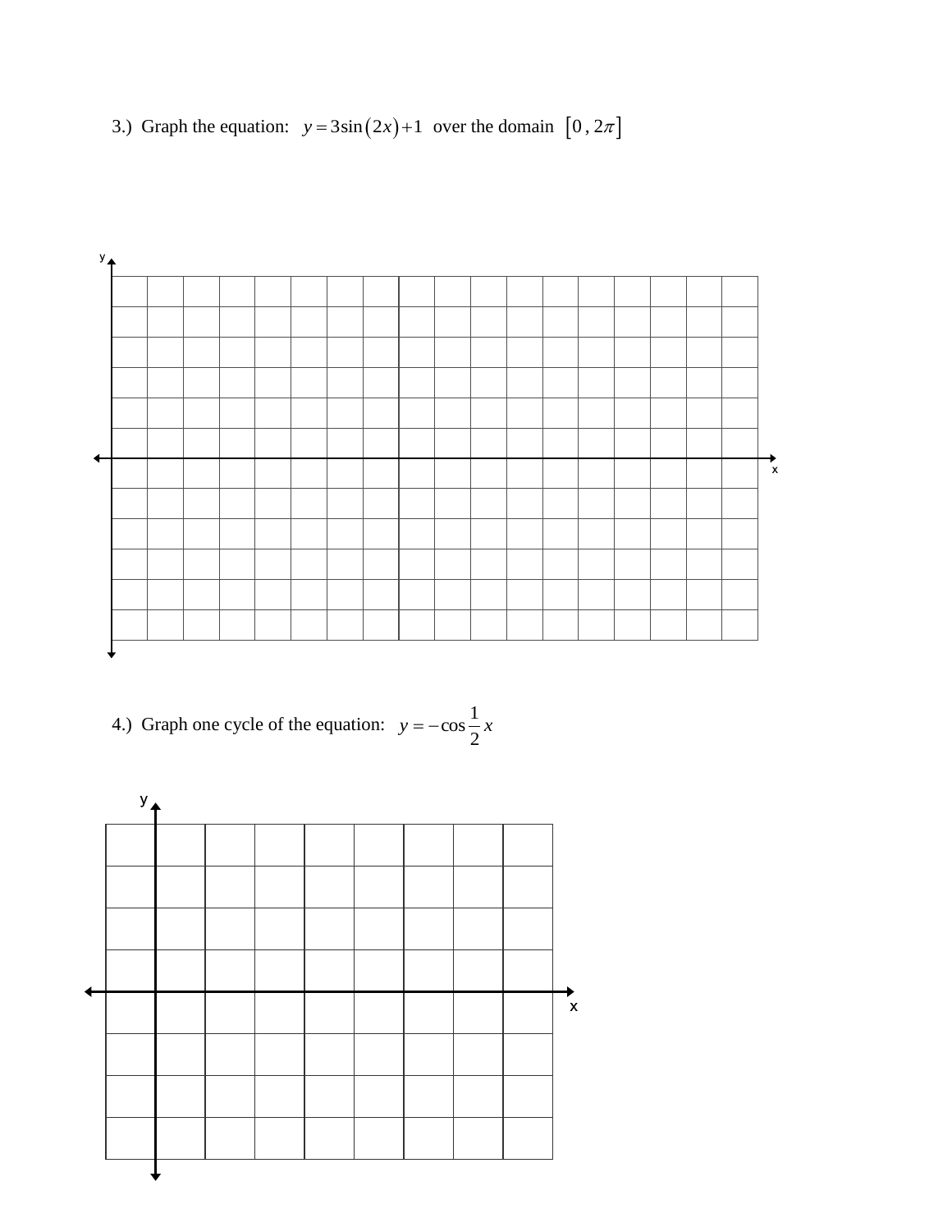3.) Graph the equation:  $y = 3\sin(2x) + 1$  over the domain  $[0, 2\pi]$ 



4.) Graph one cycle of the equation:  $y = -\cos \frac{1}{x}x$ 2  $=-\cos\frac{1}{2}$ 

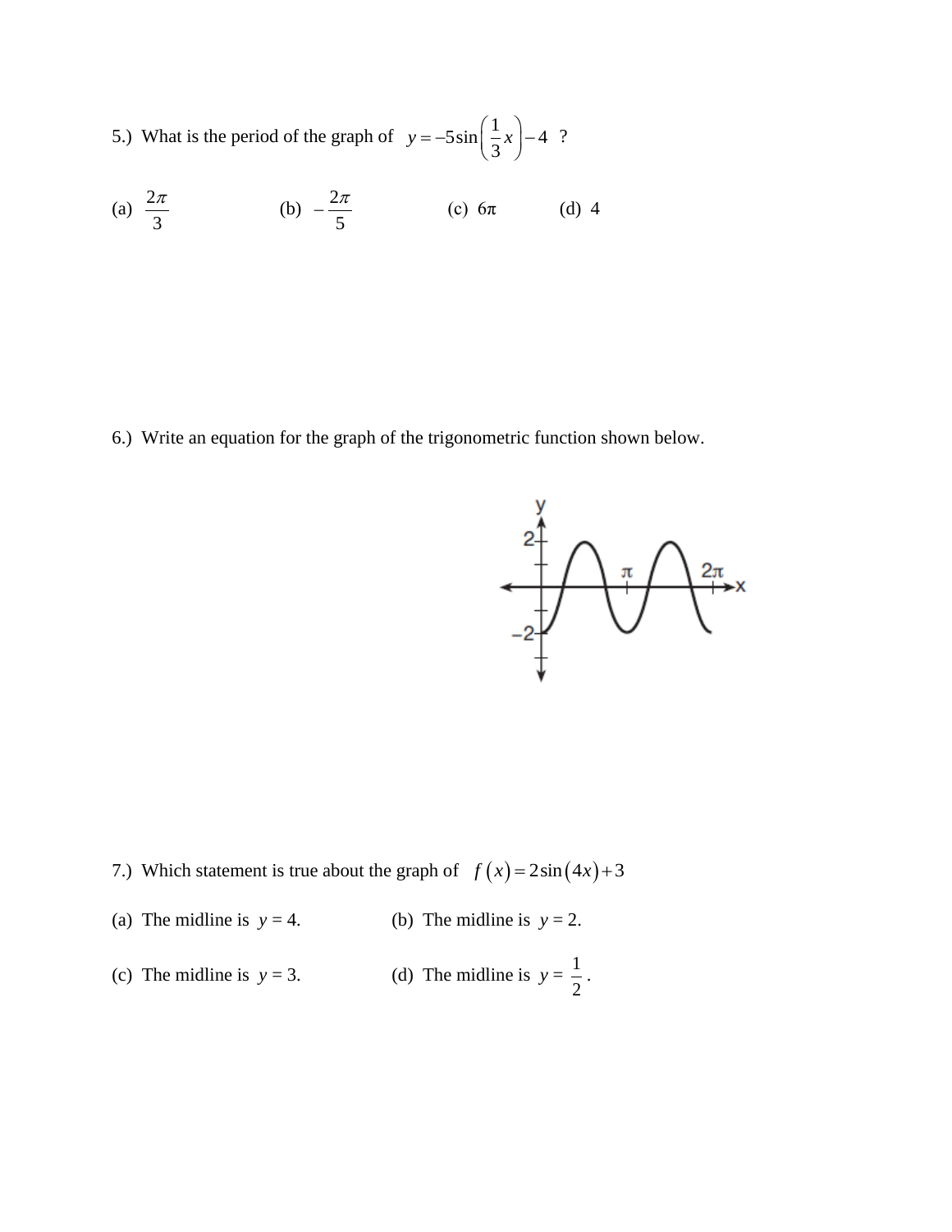5.) What is the period of the graph of  $y = -5\sin\left(\frac{1}{2}x\right) - 4$ 3  $y = -5\sin\left(\frac{1}{3}x\right) - 4$  ?

(a) 
$$
\frac{2\pi}{3}
$$
 (b)  $-\frac{2\pi}{5}$  (c)  $6\pi$  (d) 4

6.) Write an equation for the graph of the trigonometric function shown below.



- 7.) Which statement is true about the graph of  $f(x) = 2\sin(4x) + 3$
- (a) The midline is  $y = 4$ . (b) The midline is  $y = 2$ .
- (c) The midline is  $y = 3$ . 1 2 .